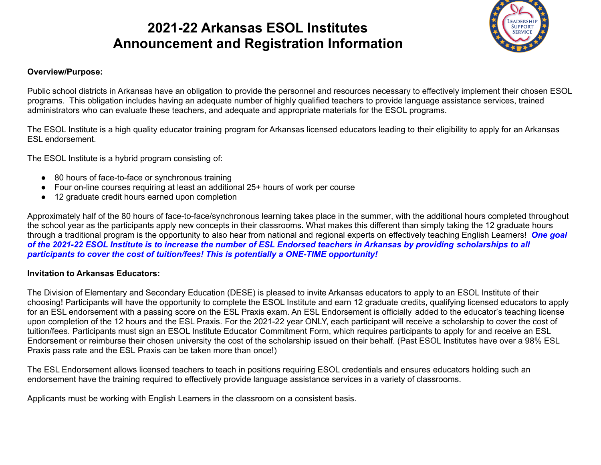# **2021-22 Arkansas ESOL Institutes Announcement and Registration Information**



### **Overview/Purpose:**

Public school districts in Arkansas have an obligation to provide the personnel and resources necessary to effectively implement their chosen ESOL programs. This obligation includes having an adequate number of highly qualified teachers to provide language assistance services, trained administrators who can evaluate these teachers, and adequate and appropriate materials for the ESOL programs.

The ESOL Institute is a high quality educator training program for Arkansas licensed educators leading to their eligibility to apply for an Arkansas ESL endorsement.

The ESOL Institute is a hybrid program consisting of:

- 80 hours of face-to-face or synchronous training
- Four on-line courses requiring at least an additional 25+ hours of work per course
- 12 graduate credit hours earned upon completion

Approximately half of the 80 hours of face-to-face/synchronous learning takes place in the summer, with the additional hours completed throughout the school year as the participants apply new concepts in their classrooms. What makes this different than simply taking the 12 graduate hours through a traditional program is the opportunity to also hear from national and regional experts on effectively teaching English Learners! *One goal of the 2021-22 ESOL Institute is to increase the number of ESL Endorsed teachers in Arkansas by providing scholarships to all participants to cover the cost of tuition/fees! This is potentially a ONE-TIME opportunity!*

#### **Invitation to Arkansas Educators:**

The Division of Elementary and Secondary Education (DESE) is pleased to invite Arkansas educators to apply to an ESOL Institute of their choosing! Participants will have the opportunity to complete the ESOL Institute and earn 12 graduate credits, qualifying licensed educators to apply for an ESL endorsement with a passing score on the ESL Praxis exam. An ESL Endorsement is officially added to the educator's teaching license upon completion of the 12 hours and the ESL Praxis. For the 2021-22 year ONLY, each participant will receive a scholarship to cover the cost of tuition/fees. Participants must sign an ESOL Institute Educator Commitment Form, which requires participants to apply for and receive an ESL Endorsement or reimburse their chosen university the cost of the scholarship issued on their behalf. (Past ESOL Institutes have over a 98% ESL Praxis pass rate and the ESL Praxis can be taken more than once!)

The ESL Endorsement allows licensed teachers to teach in positions requiring ESOL credentials and ensures educators holding such an endorsement have the training required to effectively provide language assistance services in a variety of classrooms.

Applicants must be working with English Learners in the classroom on a consistent basis.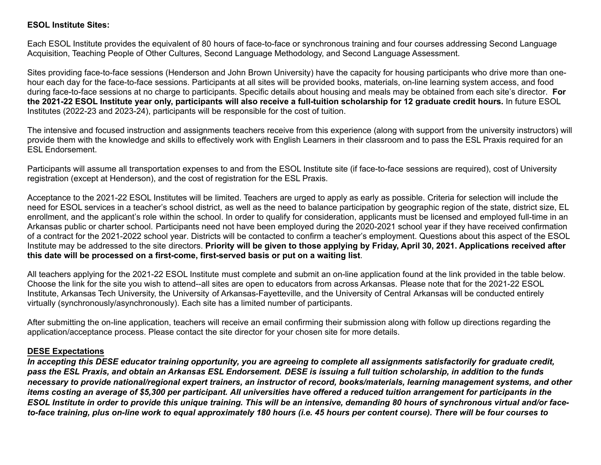#### **ESOL Institute Sites:**

Each ESOL Institute provides the equivalent of 80 hours of face-to-face or synchronous training and four courses addressing Second Language Acquisition, Teaching People of Other Cultures, Second Language Methodology, and Second Language Assessment.

Sites providing face-to-face sessions (Henderson and John Brown University) have the capacity for housing participants who drive more than onehour each day for the face-to-face sessions. Participants at all sites will be provided books, materials, on-line learning system access, and food during face-to-face sessions at no charge to participants. Specific details about housing and meals may be obtained from each site's director. **For the 2021-22 ESOL Institute year only, participants will also receive a full-tuition scholarship for 12 graduate credit hours.** In future ESOL Institutes (2022-23 and 2023-24), participants will be responsible for the cost of tuition.

The intensive and focused instruction and assignments teachers receive from this experience (along with support from the university instructors) will provide them with the knowledge and skills to effectively work with English Learners in their classroom and to pass the ESL Praxis required for an ESL Endorsement.

Participants will assume all transportation expenses to and from the ESOL Institute site (if face-to-face sessions are required), cost of University registration (except at Henderson), and the cost of registration for the ESL Praxis.

Acceptance to the 2021-22 ESOL Institutes will be limited. Teachers are urged to apply as early as possible. Criteria for selection will include the need for ESOL services in a teacher's school district, as well as the need to balance participation by geographic region of the state, district size, EL enrollment, and the applicant's role within the school. In order to qualify for consideration, applicants must be licensed and employed full-time in an Arkansas public or charter school. Participants need not have been employed during the 2020-2021 school year if they have received confirmation of a contract for the 2021-2022 school year. Districts will be contacted to confirm a teacher's employment. Questions about this aspect of the ESOL Institute may be addressed to the site directors. **Priority will be given to those applying by Friday, April 30, 2021. Applications received after this date will be processed on a first-come, first-served basis or put on a waiting list**.

All teachers applying for the 2021-22 ESOL Institute must complete and submit an on-line application found at the link provided in the table below. Choose the link for the site you wish to attend--all sites are open to educators from across Arkansas. Please note that for the 2021-22 ESOL Institute, Arkansas Tech University, the University of Arkansas-Fayetteville, and the University of Central Arkansas will be conducted entirely virtually (synchronously/asynchronously). Each site has a limited number of participants.

After submitting the on-line application, teachers will receive an email confirming their submission along with follow up directions regarding the application/acceptance process. Please contact the site director for your chosen site for more details.

#### **DESE Expectations**

*In accepting this DESE educator training opportunity, you are agreeing to complete all assignments satisfactorily for graduate credit, pass the ESL Praxis, and obtain an Arkansas ESL Endorsement. DESE is issuing a full tuition scholarship, in addition to the funds necessary to provide national/regional expert trainers, an instructor of record, books/materials, learning management systems, and other items costing an average of \$5,300 per participant. All universities have offered a reduced tuition arrangement for participants in the ESOL Institute in order to provide this unique training. This will be an intensive, demanding 80 hours of synchronous virtual and/or faceto-face training, plus on-line work to equal approximately 180 hours (i.e. 45 hours per content course). There will be four courses to*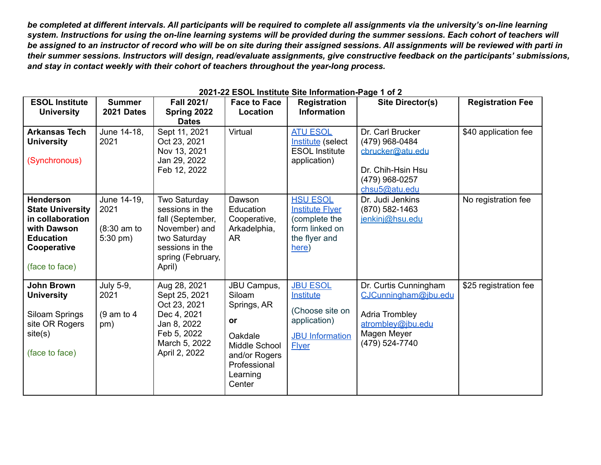*be completed at different intervals. All participants will be required to complete all assignments via the university's on-line learning system. Instructions for using the on-line learning systems will be provided during the summer sessions. Each cohort of teachers will be assigned to an instructor of record who will be on site during their assigned sessions. All assignments will be reviewed with parti in their summer sessions. Instructors will design, read/evaluate assignments, give constructive feedback on the participants' submissions, and stay in contact weekly with their cohort of teachers throughout the year-long process.*

| <b>ESOL Institute</b><br><b>University</b>                                                                                          | <b>Summer</b><br>2021 Dates                        | Fall 2021/<br>Spring 2022                                                                                                              | <b>Face to Face</b><br>Location                                                                                               | <b>Registration</b><br><b>Information</b>                                                                        | <b>Site Director(s)</b>                                                                                                      | <b>Registration Fee</b> |
|-------------------------------------------------------------------------------------------------------------------------------------|----------------------------------------------------|----------------------------------------------------------------------------------------------------------------------------------------|-------------------------------------------------------------------------------------------------------------------------------|------------------------------------------------------------------------------------------------------------------|------------------------------------------------------------------------------------------------------------------------------|-------------------------|
| <b>Arkansas Tech</b><br><b>University</b><br>(Synchronous)                                                                          | June 14-18,<br>2021                                | <b>Dates</b><br>Sept 11, 2021<br>Oct 23, 2021<br>Nov 13, 2021<br>Jan 29, 2022<br>Feb 12, 2022                                          | Virtual                                                                                                                       | <b>ATU ESOL</b><br>Institute (select<br><b>ESOL Institute</b><br>application)                                    | Dr. Carl Brucker<br>(479) 968-0484<br>cbrucker@atu.edu<br>Dr. Chih-Hsin Hsu<br>(479) 968-0257<br>chsu5@atu.edu               | \$40 application fee    |
| <b>Henderson</b><br><b>State University</b><br>in collaboration<br>with Dawson<br><b>Education</b><br>Cooperative<br>(face to face) | June 14-19,<br>2021<br>$(8:30$ am to<br>$5:30$ pm) | Two Saturday<br>sessions in the<br>fall (September,<br>November) and<br>two Saturday<br>sessions in the<br>spring (February,<br>April) | Dawson<br>Education<br>Cooperative,<br>Arkadelphia,<br>AR                                                                     | <b>HSU ESOL</b><br><b>Institute Flyer</b><br>(complete the<br>form linked on<br>the flyer and<br>here)           | Dr. Judi Jenkins<br>(870) 582-1463<br>jenkinj@hsu.edu                                                                        | No registration fee     |
| <b>John Brown</b><br><b>University</b><br>Siloam Springs<br>site OR Rogers<br>site(s)<br>(face to face)                             | July 5-9,<br>2021<br>$(9 \text{ am to } 4)$<br>pm) | Aug 28, 2021<br>Sept 25, 2021<br>Oct 23, 2021<br>Dec 4, 2021<br>Jan 8, 2022<br>Feb 5, 2022<br>March 5, 2022<br>April 2, 2022           | JBU Campus,<br>Siloam<br>Springs, AR<br>or<br>Oakdale<br>Middle School<br>and/or Rogers<br>Professional<br>Learning<br>Center | <b>JBU ESOL</b><br><b>Institute</b><br>(Choose site on<br>application)<br><b>JBU</b> Information<br><b>Flyer</b> | Dr. Curtis Cunningham<br>CJCunningham@jbu.edu<br><b>Adria Trombley</b><br>atrombley@jbu.edu<br>Magen Meyer<br>(479) 524-7740 | \$25 registration fee   |

#### **2021-22 ESOL Institute Site Information-Page 1 of 2**